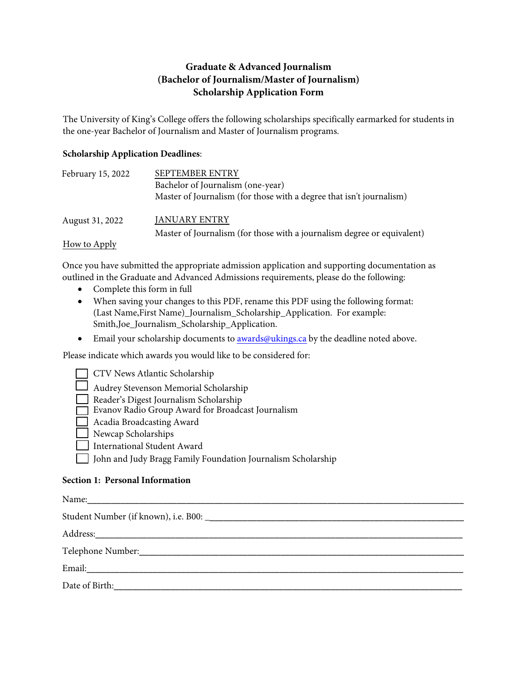## **Graduate & Advanced Journalism (Bachelor of Journalism/Master of Journalism) Scholarship Application Form**

The University of King's College offers the following scholarships specifically earmarked for students in the one-year Bachelor of Journalism and Master of Journalism programs.

## **Scholarship Application Deadlines**:

| February 15, 2022 | <b>SEPTEMBER ENTRY</b>                                                  |  |
|-------------------|-------------------------------------------------------------------------|--|
|                   | Bachelor of Journalism (one-year)                                       |  |
|                   | Master of Journalism (for those with a degree that isn't journalism)    |  |
| August 31, 2022   | JANUARY ENTRY                                                           |  |
|                   | Master of Journalism (for those with a journalism degree or equivalent) |  |
| How to Apply      |                                                                         |  |

Once you have submitted the appropriate admission application and supporting documentation as outlined in the Graduate and Advanced Admissions requirements, please do the following:

- Complete this form in full
- When saving your changes to this PDF, rename this PDF using the following format: (Last Name,First Name)\_Journalism\_Scholarship\_Application. For example: Smith,Joe\_Journalism\_Scholarship\_Application.
- Email your scholarship documents to awards@ukings.ca by the deadline noted above.

Please indicate which awards you would like to be considered for:

CTV News Atlantic Scholarship

Audrey Stevenson Memorial Scholarship

- Reader's Digest Journalism Scholarship
- Evanov Radio Group Award for Broadcast Journalism
- Acadia Broadcasting Award
- Newcap Scholarships
- International Student Award Ξ

John and Judy Bragg Family Foundation Journalism Scholarship

## **Section 1: Personal Information**

Ξ

| Name: 2008. 2008. 2010. 2010. 2010. 2010. 2010. 2010. 2010. 2010. 2010. 2010. 2010. 2010. 2010. 2010. 2010. 20 |
|----------------------------------------------------------------------------------------------------------------|
|                                                                                                                |
|                                                                                                                |
|                                                                                                                |
|                                                                                                                |
| Date of Birth:                                                                                                 |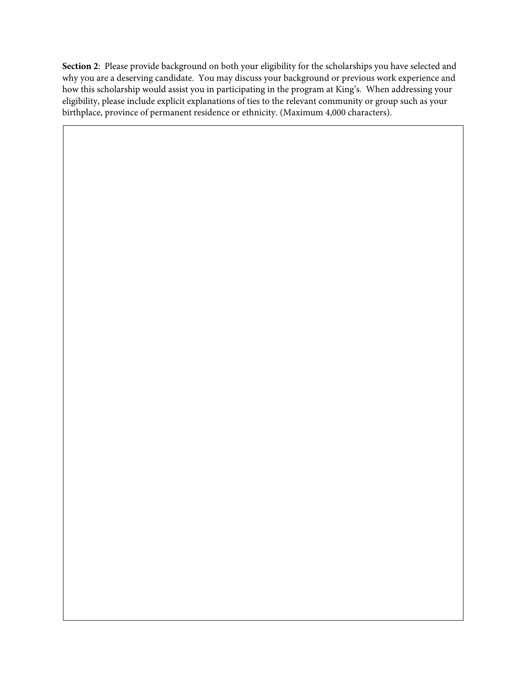**Section 2**: Please provide background on both your eligibility for the scholarships you have selected and why you are a deserving candidate. You may discuss your background or previous work experience and how this scholarship would assist you in participating in the program at King's. When addressing your eligibility, please include explicit explanations of ties to the relevant community or group such as your birthplace, province of permanent residence or ethnicity. (Maximum 4,000 characters).